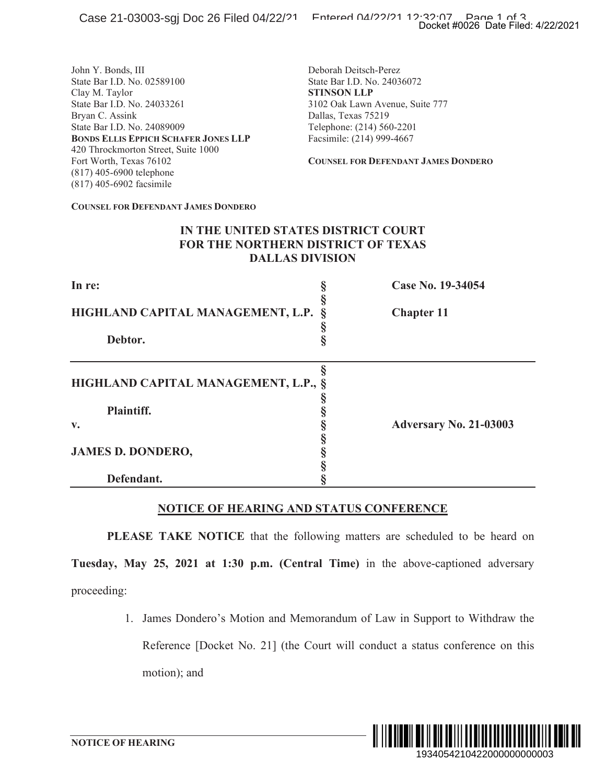|                                                                                                                                                                                                                                                                                                                               |                                                                                                                                                                                                                                              | Docket #0026 Date Filed: 4/22/2021                                            |
|-------------------------------------------------------------------------------------------------------------------------------------------------------------------------------------------------------------------------------------------------------------------------------------------------------------------------------|----------------------------------------------------------------------------------------------------------------------------------------------------------------------------------------------------------------------------------------------|-------------------------------------------------------------------------------|
| John Y. Bonds, III<br>State Bar I.D. No. 02589100<br>Clay M. Taylor<br>State Bar I.D. No. 24033261<br>Bryan C. Assink<br>State Bar I.D. No. 24089009<br><b>BONDS ELLIS EPPICH SCHAFER JONES LLP</b><br>420 Throckmorton Street, Suite 1000<br>Fort Worth, Texas 76102<br>(817) 405-6900 telephone<br>(817) 405-6902 facsimile | Deborah Deitsch-Perez<br>State Bar I.D. No. 24036072<br><b>STINSON LLP</b><br>3102 Oak Lawn Avenue, Suite 777<br>Dallas, Texas 75219<br>Telephone: (214) 560-2201<br>Facsimile: (214) 999-4667<br><b>COUNSEL FOR DEFENDANT JAMES DONDERO</b> |                                                                               |
| <b>COUNSEL FOR DEFENDANT JAMES DONDERO</b>                                                                                                                                                                                                                                                                                    |                                                                                                                                                                                                                                              |                                                                               |
| IN THE UNITED STATES DISTRICT COURT<br>FOR THE NORTHERN DISTRICT OF TEXAS                                                                                                                                                                                                                                                     | <b>DALLAS DIVISION</b>                                                                                                                                                                                                                       |                                                                               |
| In re:                                                                                                                                                                                                                                                                                                                        | Š                                                                                                                                                                                                                                            | Case No. 19-34054                                                             |
| HIGHLAND CAPITAL MANAGEMENT, L.P.                                                                                                                                                                                                                                                                                             | §                                                                                                                                                                                                                                            | <b>Chapter 11</b>                                                             |
| Debtor.                                                                                                                                                                                                                                                                                                                       | §                                                                                                                                                                                                                                            |                                                                               |
| HIGHLAND CAPITAL MANAGEMENT, L.P.,<br><b>Plaintiff.</b><br>v.<br><b>JAMES D. DONDERO,</b><br>Defendant.                                                                                                                                                                                                                       | §<br>SO SO SO SO SO<br>§                                                                                                                                                                                                                     | <b>Adversary No. 21-03003</b>                                                 |
| <b>NOTICE OF HEARING AND STATUS CONFERENCE</b>                                                                                                                                                                                                                                                                                |                                                                                                                                                                                                                                              |                                                                               |
| PLEASE TAKE NOTICE that the following matters are scheduled to be heard on                                                                                                                                                                                                                                                    |                                                                                                                                                                                                                                              |                                                                               |
| Tuesday, May 25, 2021 at 1:30 p.m. (Central Time) in the above-captioned adversary                                                                                                                                                                                                                                            |                                                                                                                                                                                                                                              |                                                                               |
| proceeding:                                                                                                                                                                                                                                                                                                                   |                                                                                                                                                                                                                                              |                                                                               |
| 1.                                                                                                                                                                                                                                                                                                                            |                                                                                                                                                                                                                                              | James Dondero's Motion and Memorandum of Law in Support to Withdraw the       |
|                                                                                                                                                                                                                                                                                                                               |                                                                                                                                                                                                                                              | Reference [Docket No. 21] (the Court will conduct a status conference on this |
| motion); and                                                                                                                                                                                                                                                                                                                  |                                                                                                                                                                                                                                              |                                                                               |
|                                                                                                                                                                                                                                                                                                                               |                                                                                                                                                                                                                                              | <u> ALAM DILBI AN DILI AN AN AN DILI AN AN DI</u><br>IIII II                  |
| <b>NOTICE OF HEARING</b>                                                                                                                                                                                                                                                                                                      |                                                                                                                                                                                                                                              | 1934054210422000000000003                                                     |

### **NOTICE OF HEARING AND STATUS CONFERENCE**

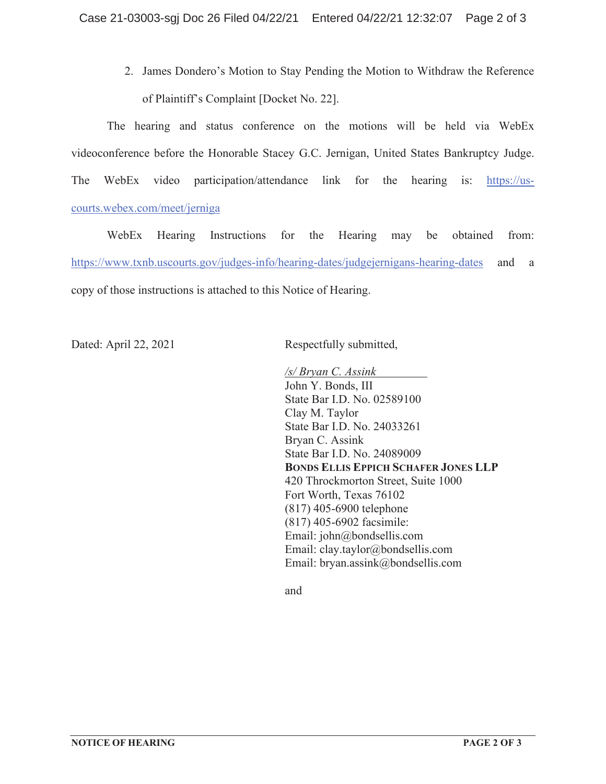2. James Dondero's Motion to Stay Pending the Motion to Withdraw the Reference of Plaintiff's Complaint [Docket No. 22].

The hearing and status conference on the motions will be held via WebEx videoconference before the Honorable Stacey G.C. Jernigan, United States Bankruptcy Judge. The WebEx video participation/attendance link for the hearing is: https://uscourts.webex.com/meet/jerniga

WebEx Hearing Instructions for the Hearing may be obtained from: https://www.txnb.uscourts.gov/judges-info/hearing-dates/judgejernigans-hearing-dates and a copy of those instructions is attached to this Notice of Hearing.

Dated: April 22, 2021 Respectfully submitted,

 */s/ Bryan C. Assink*  John Y. Bonds, III State Bar I.D. No. 02589100 Clay M. Taylor State Bar I.D. No. 24033261 Bryan C. Assink State Bar I.D. No. 24089009 **BONDS ELLIS EPPICH SCHAFER JONES LLP**  420 Throckmorton Street, Suite 1000 Fort Worth, Texas 76102 (817) 405-6900 telephone (817) 405-6902 facsimile: Email: john@bondsellis.com Email: clay.taylor@bondsellis.com Email: bryan.assink@bondsellis.com

and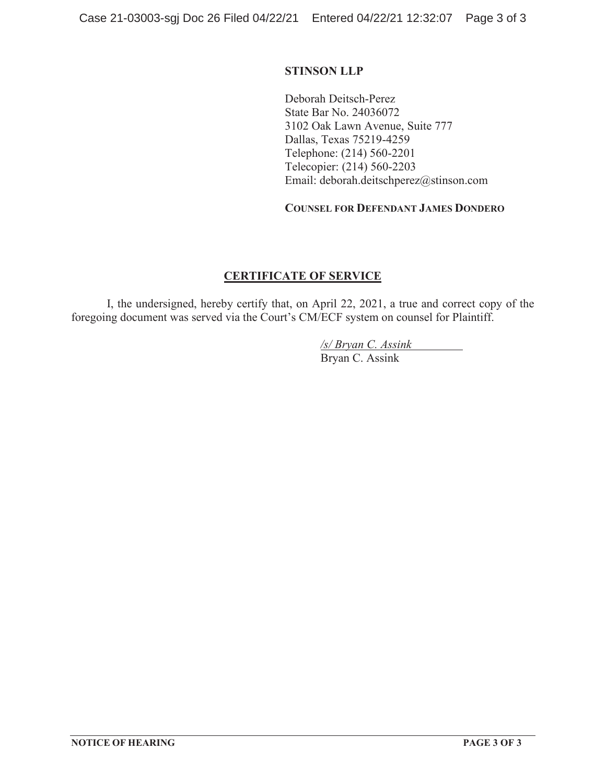## **STINSON LLP**

Deborah Deitsch-Perez State Bar No. 24036072 3102 Oak Lawn Avenue, Suite 777 Dallas, Texas 75219-4259 Telephone: (214) 560-2201 Telecopier: (214) 560-2203 Email: deborah.deitschperez@stinson.com

## **COUNSEL FOR DEFENDANT JAMES DONDERO**

## **CERTIFICATE OF SERVICE**

I, the undersigned, hereby certify that, on April 22, 2021, a true and correct copy of the foregoing document was served via the Court's CM/ECF system on counsel for Plaintiff.

> */s/ Bryan C. Assink*  Bryan C. Assink